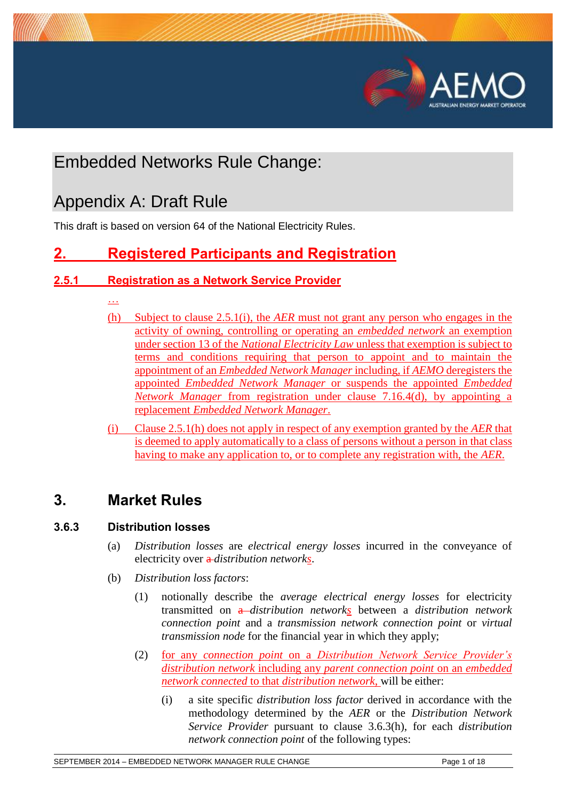



# Embedded Networks Rule Change:

# Appendix A: Draft Rule

This draft is based on version 64 of the National Electricity Rules.

# **2. Registered Participants and Registration**

## **2.5.1 Registration as a Network Service Provider**

- …
- (h) Subject to clause 2.5.1(i), the *AER* must not grant any person who engages in the activity of owning, controlling or operating an *embedded network* an exemption under section 13 of the *National Electricity Law* unless that exemption is subject to terms and conditions requiring that person to appoint and to maintain the appointment of an *Embedded Network Manager* including, if *AEMO* deregisters the appointed *Embedded Network Manager* or suspends the appointed *Embedded Network Manager* from registration under clause 7.16.4(d), by appointing a replacement *Embedded Network Manager*.
- (i) Clause 2.5.1(h) does not apply in respect of any exemption granted by the *AER* that is deemed to apply automatically to a class of persons without a person in that class having to make any application to, or to complete any registration with, the *AER*.

# **3. Market Rules**

## **3.6.3 Distribution losses**

- (a) *Distribution losses* are *electrical energy losses* incurred in the conveyance of electricity over a *distribution networks*.
- (b) *Distribution loss factors*:
	- (1) notionally describe the *average electrical energy losses* for electricity transmitted on a *distribution networks* between a *distribution network connection point* and a *transmission network connection point* or *virtual transmission node* for the financial year in which they apply;
	- (2) for any *connection point* on a *Distribution Network Service Provider's distribution network* including any *parent connection point* on an *embedded network connected* to that *distribution network*, will be either:
		- (i) a site specific *distribution loss factor* derived in accordance with the methodology determined by the *AER* or the *Distribution Network Service Provider* pursuant to clause 3.6.3(h), for each *distribution network connection point* of the following types: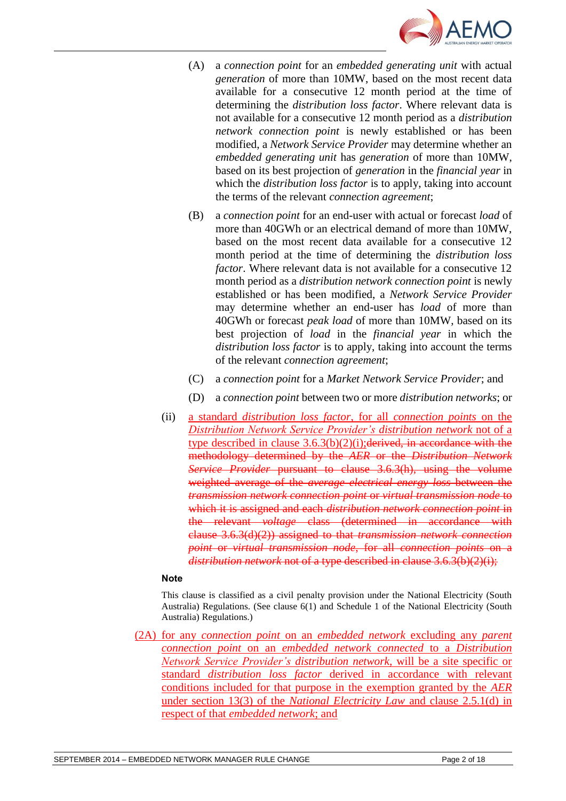

- (A) a *connection point* for an *embedded generating unit* with actual *generation* of more than 10MW, based on the most recent data available for a consecutive 12 month period at the time of determining the *distribution loss factor*. Where relevant data is not available for a consecutive 12 month period as a *distribution network connection point* is newly established or has been modified, a *Network Service Provider* may determine whether an *embedded generating unit* has *generation* of more than 10MW, based on its best projection of *generation* in the *financial year* in which the *distribution loss factor* is to apply, taking into account the terms of the relevant *connection agreement*;
- (B) a *connection point* for an end-user with actual or forecast *load* of more than 40GWh or an electrical demand of more than 10MW, based on the most recent data available for a consecutive 12 month period at the time of determining the *distribution loss factor*. Where relevant data is not available for a consecutive 12 month period as a *distribution network connection point* is newly established or has been modified, a *Network Service Provider* may determine whether an end-user has *load* of more than 40GWh or forecast *peak load* of more than 10MW, based on its best projection of *load* in the *financial year* in which the *distribution loss factor* is to apply, taking into account the terms of the relevant *connection agreement*;
- (C) a *connection point* for a *Market Network Service Provider*; and
- (D) a *connection point* between two or more *distribution networks*; or
- (ii) a standard *distribution loss factor*, for all *connection points* on the *Distribution Network Service Provider's distribution network* not of a type described in clause  $3.6.3(b)(2)(i)$ ; derived, in accordance with the methodology determined by the *AER* or the *Distribution Network Service Provider* pursuant to clause 3.6.3(h), using the volume weighted average of the *average electrical energy loss* between the *transmission network connection point* or *virtual transmission node* to which it is assigned and each *distribution network connection point* in the relevant *voltage* class (determined in accordance with clause 3.6.3(d)(2)) assigned to that *transmission network connection point* or *virtual transmission node*, for all *connection points* on a *distribution network* not of a type described in clause 3.6.3(b)(2)(i);

This clause is classified as a civil penalty provision under the National Electricity (South Australia) Regulations. (See clause 6(1) and Schedule 1 of the National Electricity (South Australia) Regulations.)

(2A) for any *connection point* on an *embedded network* excluding any *parent connection point* on an *embedded network connected* to a *Distribution Network Service Provider's distribution network*, will be a site specific or standard *distribution loss factor* derived in accordance with relevant conditions included for that purpose in the exemption granted by the *AER* under section 13(3) of the *National Electricity Law* and clause 2.5.1(d) in respect of that *embedded network*; and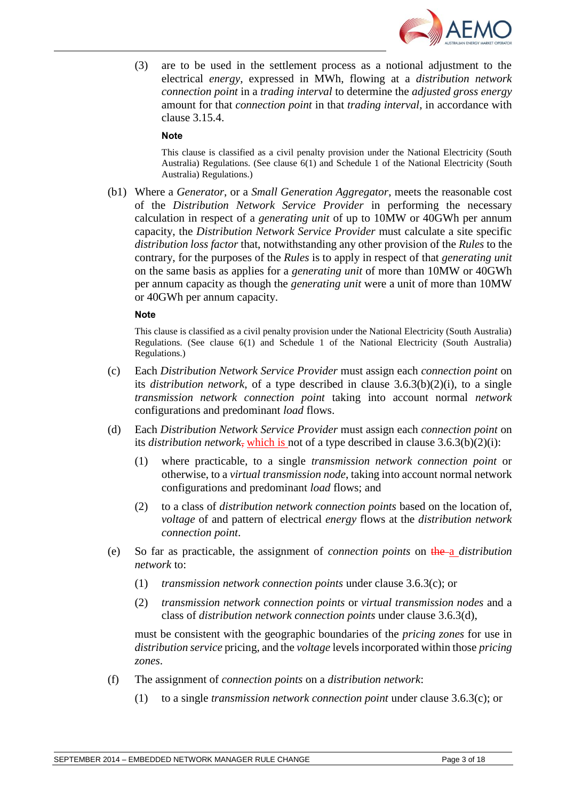

(3) are to be used in the settlement process as a notional adjustment to the electrical *energy*, expressed in MWh, flowing at a *distribution network connection point* in a *trading interval* to determine the *adjusted gross energy* amount for that *connection point* in that *trading interval*, in accordance with clause 3.15.4.

#### **Note**

This clause is classified as a civil penalty provision under the National Electricity (South Australia) Regulations. (See clause 6(1) and Schedule 1 of the National Electricity (South Australia) Regulations.)

(b1) Where a *Generator*, or a *Small Generation Aggregator*, meets the reasonable cost of the *Distribution Network Service Provider* in performing the necessary calculation in respect of a *generating unit* of up to 10MW or 40GWh per annum capacity, the *Distribution Network Service Provider* must calculate a site specific *distribution loss factor* that, notwithstanding any other provision of the *Rules* to the contrary, for the purposes of the *Rules* is to apply in respect of that *generating unit* on the same basis as applies for a *generating unit* of more than 10MW or 40GWh per annum capacity as though the *generating unit* were a unit of more than 10MW or 40GWh per annum capacity.

#### **Note**

This clause is classified as a civil penalty provision under the National Electricity (South Australia) Regulations. (See clause 6(1) and Schedule 1 of the National Electricity (South Australia) Regulations.)

- (c) Each *Distribution Network Service Provider* must assign each *connection point* on its *distribution network*, of a type described in clause 3.6.3(b)(2)(i), to a single *transmission network connection point* taking into account normal *network* configurations and predominant *load* flows.
- (d) Each *Distribution Network Service Provider* must assign each *connection point* on its *distribution network*, which is not of a type described in clause  $3.6.3(b)(2)(i)$ :
	- (1) where practicable, to a single *transmission network connection point* or otherwise, to a *virtual transmission node*, taking into account normal network configurations and predominant *load* flows; and
	- (2) to a class of *distribution network connection points* based on the location of, *voltage* of and pattern of electrical *energy* flows at the *distribution network connection point*.
- (e) So far as practicable, the assignment of *connection points* on the a *distribution network* to:
	- (1) *transmission network connection points* under clause 3.6.3(c); or
	- (2) *transmission network connection points* or *virtual transmission nodes* and a class of *distribution network connection points* under clause 3.6.3(d),

must be consistent with the geographic boundaries of the *pricing zones* for use in *distribution service* pricing, and the *voltage* levels incorporated within those *pricing zones*.

- (f) The assignment of *connection points* on a *distribution network*:
	- (1) to a single *transmission network connection point* under clause 3.6.3(c); or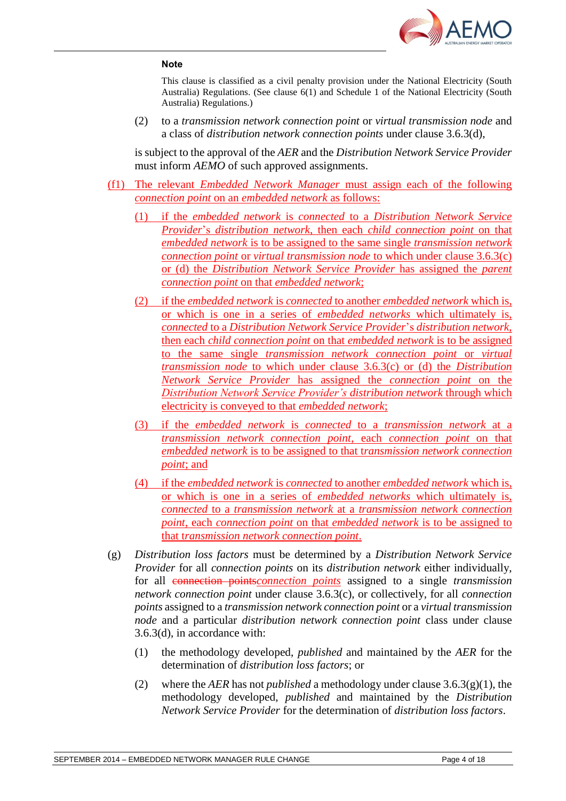

This clause is classified as a civil penalty provision under the National Electricity (South Australia) Regulations. (See clause 6(1) and Schedule 1 of the National Electricity (South Australia) Regulations.)

(2) to a *transmission network connection point* or *virtual transmission node* and a class of *distribution network connection points* under clause 3.6.3(d),

is subject to the approval of the *AER* and the *Distribution Network Service Provider* must inform *AEMO* of such approved assignments.

- (f1) The relevant *Embedded Network Manager* must assign each of the following *connection point* on an *embedded network* as follows:
	- (1) if the *embedded network* is *connected* to a *Distribution Network Service Provider*'s *distribution network*, then each *child connection point* on that *embedded network* is to be assigned to the same single *transmission network connection point* or *virtual transmission node* to which under clause 3.6.3(c) or (d) the *Distribution Network Service Provider* has assigned the *parent connection point* on that *embedded network*;
	- (2) if the *embedded network* is *connected* to another *embedded network* which is, or which is one in a series of *embedded networks* which ultimately is, *connected* to a *Distribution Network Service Provider*'s *distribution network*, then each *child connection point* on that *embedded network* is to be assigned to the same single *transmission network connection point* or *virtual transmission node* to which under clause 3.6.3(c) or (d) the *Distribution Network Service Provider* has assigned the *connection point* on the *Distribution Network Service Provider's distribution network* through which electricity is conveyed to that *embedded network*;
	- (3) if the *embedded network* is *connected* to a *transmission network* at a *transmission network connection point*, each *connection point* on that *embedded network* is to be assigned to that t*ransmission network connection point*; and
	- (4) if the *embedded network* is *connected* to another *embedded network* which is, or which is one in a series of *embedded networks* which ultimately is, *connected* to a *transmission network* at a *transmission network connection point*, each *connection point* on that *embedded network* is to be assigned to that t*ransmission network connection point*.
- (g) *Distribution loss factors* must be determined by a *Distribution Network Service Provider* for all *connection points* on its *distribution network* either individually, for all connection points*connection points* assigned to a single *transmission network connection point* under clause 3.6.3(c), or collectively, for all *connection points* assigned to a *transmission network connection point* or a *virtual transmission node* and a particular *distribution network connection point* class under clause 3.6.3(d), in accordance with:
	- (1) the methodology developed, *published* and maintained by the *AER* for the determination of *distribution loss factors*; or
	- (2) where the *AER* has not *published* a methodology under clause 3.6.3(g)(1), the methodology developed, *published* and maintained by the *Distribution Network Service Provider* for the determination of *distribution loss factors*.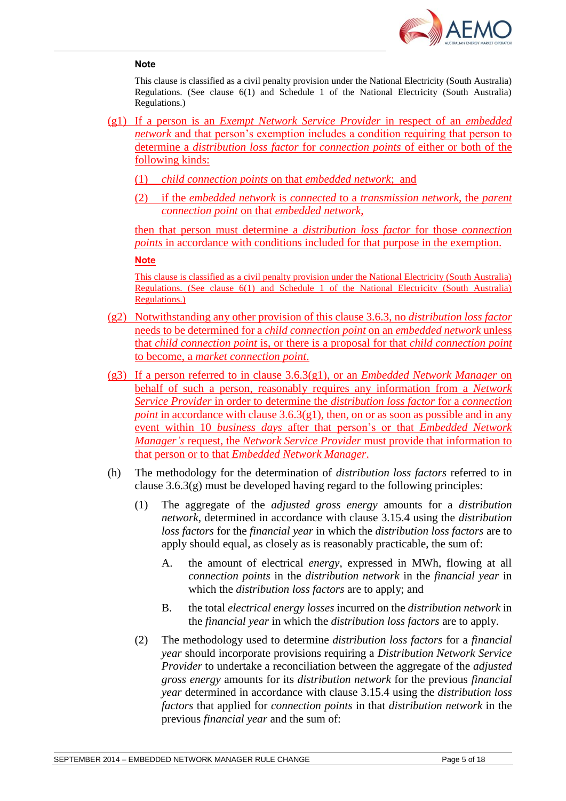

This clause is classified as a civil penalty provision under the National Electricity (South Australia) Regulations. (See clause 6(1) and Schedule 1 of the National Electricity (South Australia) Regulations.)

- (g1) If a person is an *Exempt Network Service Provider* in respect of an *embedded network* and that person's exemption includes a condition requiring that person to determine a *distribution loss factor* for *connection points* of either or both of the following kinds:
	- (1) *child connection points* on that *embedded network*; and
	- (2) if the *embedded network* is *connected* to a *transmission network*, the *parent connection point* on that *embedded network*,

then that person must determine a *distribution loss factor* for those *connection points* in accordance with conditions included for that purpose in the exemption.

#### **Note**

This clause is classified as a civil penalty provision under the National Electricity (South Australia) Regulations. (See clause 6(1) and Schedule 1 of the National Electricity (South Australia) Regulations.)

- (g2) Notwithstanding any other provision of this clause 3.6.3, no *distribution loss factor* needs to be determined for a *child connection point* on an *embedded network* unless that *child connection point* is, or there is a proposal for that *child connection point* to become, a *market connection point*.
- (g3) If a person referred to in clause 3.6.3(g1), or an *Embedded Network Manager* on behalf of such a person, reasonably requires any information from a *Network Service Provider* in order to determine the *distribution loss factor* for a *connection point* in accordance with clause 3.6.3(g1), then, on or as soon as possible and in any event within 10 *business days* after that person's or that *Embedded Network Manager's* request, the *Network Service Provider* must provide that information to that person or to that *Embedded Network Manager*.
- (h) The methodology for the determination of *distribution loss factors* referred to in clause  $3.6.3(g)$  must be developed having regard to the following principles:
	- (1) The aggregate of the *adjusted gross energy* amounts for a *distribution network*, determined in accordance with clause 3.15.4 using the *distribution loss factors* for the *financial year* in which the *distribution loss factors* are to apply should equal, as closely as is reasonably practicable, the sum of:
		- A. the amount of electrical *energy*, expressed in MWh, flowing at all *connection points* in the *distribution network* in the *financial year* in which the *distribution loss factors* are to apply; and
		- B. the total *electrical energy losses* incurred on the *distribution network* in the *financial year* in which the *distribution loss factors* are to apply.
	- (2) The methodology used to determine *distribution loss factors* for a *financial year* should incorporate provisions requiring a *Distribution Network Service Provider* to undertake a reconciliation between the aggregate of the *adjusted gross energy* amounts for its *distribution network* for the previous *financial year* determined in accordance with clause 3.15.4 using the *distribution loss factors* that applied for *connection points* in that *distribution network* in the previous *financial year* and the sum of: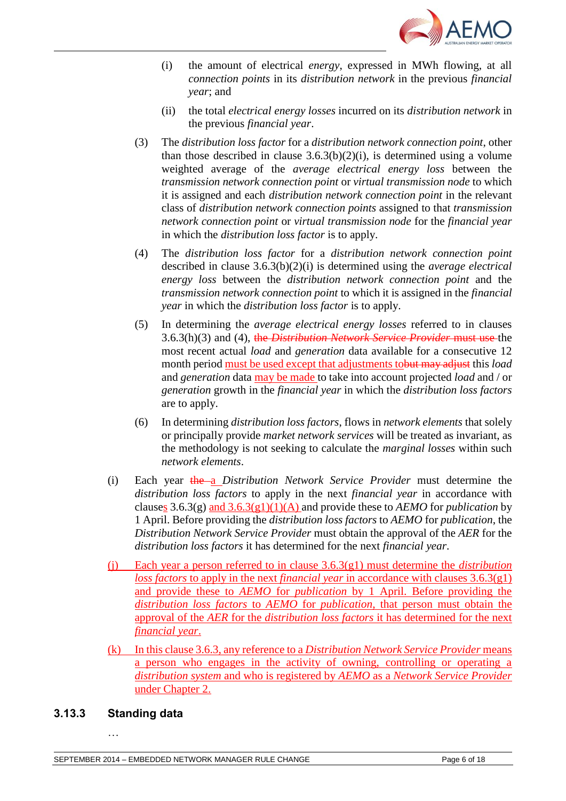

- (i) the amount of electrical *energy*, expressed in MWh flowing, at all *connection points* in its *distribution network* in the previous *financial year*; and
- (ii) the total *electrical energy losses* incurred on its *distribution network* in the previous *financial year*.
- (3) The *distribution loss factor* for a *distribution network connection point*, other than those described in clause  $3.6.3(b)(2)(i)$ , is determined using a volume weighted average of the *average electrical energy loss* between the *transmission network connection point* or *virtual transmission node* to which it is assigned and each *distribution network connection point* in the relevant class of *distribution network connection points* assigned to that *transmission network connection point* or *virtual transmission node* for the *financial year* in which the *distribution loss factor* is to apply.
- (4) The *distribution loss factor* for a *distribution network connection point* described in clause 3.6.3(b)(2)(i) is determined using the *average electrical energy loss* between the *distribution network connection point* and the *transmission network connection point* to which it is assigned in the *financial year* in which the *distribution loss factor* is to apply.
- (5) In determining the *average electrical energy losses* referred to in clauses 3.6.3(h)(3) and (4), the *Distribution Network Service Provider* must use the most recent actual *load* and *generation* data available for a consecutive 12 month period must be used except that adjustments tobut may adjust this *load* and *generation* data may be made to take into account projected *load* and / or *generation* growth in the *financial year* in which the *distribution loss factors* are to apply.
- (6) In determining *distribution loss factors*, flows in *network elements* that solely or principally provide *market network services* will be treated as invariant, as the methodology is not seeking to calculate the *marginal losses* within such *network elements*.
- (i) Each year the a *Distribution Network Service Provider* must determine the *distribution loss factors* to apply in the next *financial year* in accordance with clauses 3.6.3(g) and 3.6.3(g1)(1)(A) and provide these to *AEMO* for *publication* by 1 April. Before providing the *distribution loss factors* to *AEMO* for *publication*, the *Distribution Network Service Provider* must obtain the approval of the *AER* for the *distribution loss factors* it has determined for the next *financial year*.
- (j) Each year a person referred to in clause 3.6.3(g1) must determine the *distribution loss factors* to apply in the next *financial year* in accordance with clauses 3.6.3(g1) and provide these to *AEMO* for *publication* by 1 April. Before providing the *distribution loss factors* to *AEMO* for *publication*, that person must obtain the approval of the *AER* for the *distribution loss factors* it has determined for the next *financial year*.
- (k) In this clause 3.6.3, any reference to a *Distribution Network Service Provider* means a person who engages in the activity of owning, controlling or operating a *distribution system* and who is registered by *AEMO* as a *Network Service Provider* under Chapter 2.

#### **3.13.3 Standing data**

…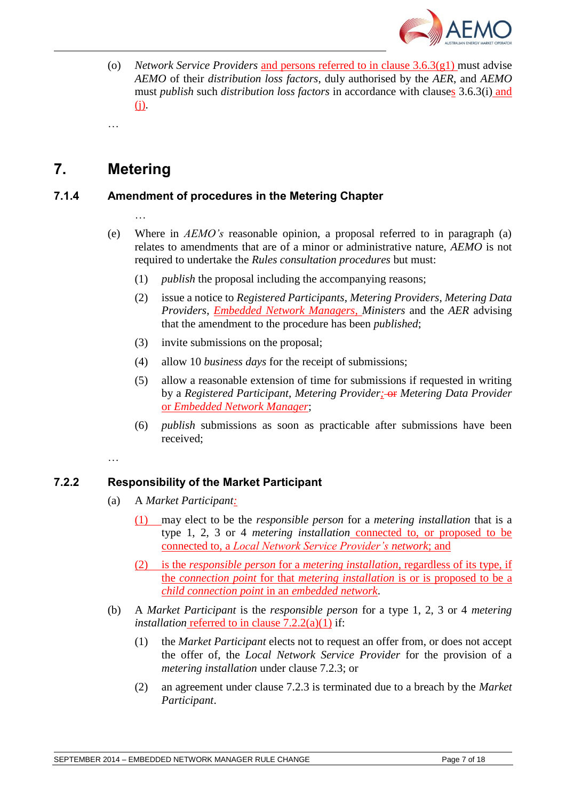

(o) *Network Service Providers* and persons referred to in clause 3.6.3(g1) must advise *AEMO* of their *distribution loss factors*, duly authorised by the *AER*, and *AEMO* must *publish* such *distribution loss factors* in accordance with clauses 3.6.3(i) and (j).

# **7. Metering**

…

…

## **7.1.4 Amendment of procedures in the Metering Chapter**

- 
- (e) Where in *AEMO's* reasonable opinion, a proposal referred to in paragraph (a) relates to amendments that are of a minor or administrative nature, *AEMO* is not required to undertake the *Rules consultation procedures* but must:
	- (1) *publish* the proposal including the accompanying reasons;
	- (2) issue a notice to *Registered Participants*, *Metering Providers*, *Metering Data Providers*, *Embedded Network Managers, Ministers* and the *AER* advising that the amendment to the procedure has been *published*;
	- (3) invite submissions on the proposal;
	- (4) allow 10 *business days* for the receipt of submissions;
	- (5) allow a reasonable extension of time for submissions if requested in writing by a *Registered Participant*, *Metering Provider;* or *Metering Data Provider* or *Embedded Network Manager*;
	- (6) *publish* submissions as soon as practicable after submissions have been received;

## **7.2.2 Responsibility of the Market Participant**

- (a) A *Market Participant:*
	- (1) may elect to be the *responsible person* for a *metering installation* that is a type 1, 2, 3 or 4 *metering installation* connected to, or proposed to be connected to, a *Local Network Service Provider's network*; and
	- (2) is the *responsible person* for a *metering installation*, regardless of its type, if the *connection point* for that *metering installation* is or is proposed to be a *child connection point* in an *embedded network*.
- (b) A *Market Participant* is the *responsible person* for a type 1, 2, 3 or 4 *metering installation* referred to in clause 7.2.2(a)(1) if:
	- (1) the *Market Participant* elects not to request an offer from, or does not accept the offer of, the *Local Network Service Provider* for the provision of a *metering installation* under clause 7.2.3; or
	- (2) an agreement under clause 7.2.3 is terminated due to a breach by the *Market Participant*.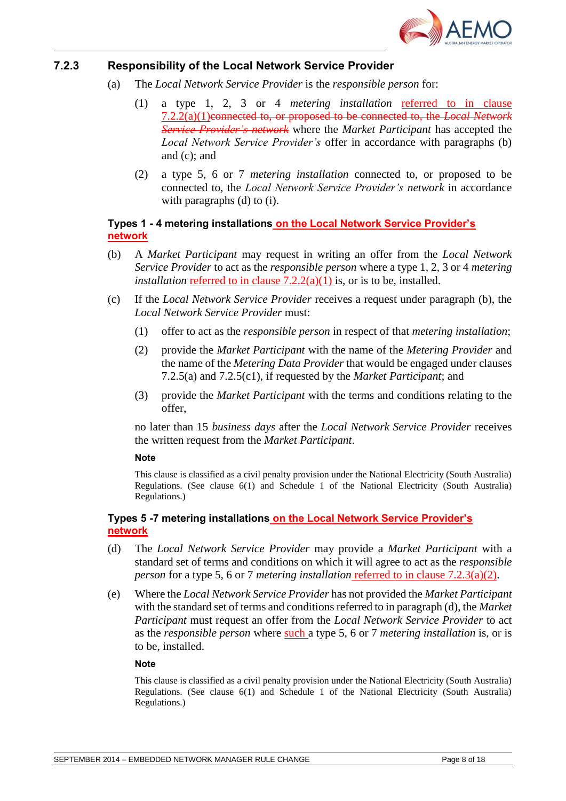

#### **7.2.3 Responsibility of the Local Network Service Provider**

- (a) The *Local Network Service Provider* is the *responsible person* for:
	- (1) a type 1, 2, 3 or 4 *metering installation* referred to in clause 7.2.2(a)(1)connected to, or proposed to be connected to, the *Local Network Service Provider's network* where the *Market Participant* has accepted the *Local Network Service Provider's* offer in accordance with paragraphs (b) and (c); and
	- (2) a type 5, 6 or 7 *metering installation* connected to, or proposed to be connected to, the *Local Network Service Provider's network* in accordance with paragraphs (d) to (i).

#### **Types 1 - 4 metering installations on the Local Network Service Provider's network**

- (b) A *Market Participant* may request in writing an offer from the *Local Network Service Provider* to act as the *responsible person* where a type 1, 2, 3 or 4 *metering installation* referred to in clause  $7.2.2(a)(1)$  is, or is to be, installed.
- (c) If the *Local Network Service Provider* receives a request under paragraph (b), the *Local Network Service Provider* must:
	- (1) offer to act as the *responsible person* in respect of that *metering installation*;
	- (2) provide the *Market Participant* with the name of the *Metering Provider* and the name of the *Metering Data Provider* that would be engaged under clauses 7.2.5(a) and 7.2.5(c1), if requested by the *Market Participant*; and
	- (3) provide the *Market Participant* with the terms and conditions relating to the offer,

no later than 15 *business days* after the *Local Network Service Provider* receives the written request from the *Market Participant*.

#### **Note**

This clause is classified as a civil penalty provision under the National Electricity (South Australia) Regulations. (See clause 6(1) and Schedule 1 of the National Electricity (South Australia) Regulations.)

#### **Types 5 -7 metering installations on the Local Network Service Provider's network**

- (d) The *Local Network Service Provider* may provide a *Market Participant* with a standard set of terms and conditions on which it will agree to act as the *responsible person* for a type 5, 6 or 7 *metering installation* referred to in clause 7.2.3(a)(2).
- (e) Where the *Local Network Service Provider* has not provided the *Market Participant* with the standard set of terms and conditions referred to in paragraph (d), the *Market Participant* must request an offer from the *Local Network Service Provider* to act as the *responsible person* where such a type 5, 6 or 7 *metering installation* is, or is to be, installed.

#### **Note**

This clause is classified as a civil penalty provision under the National Electricity (South Australia) Regulations. (See clause 6(1) and Schedule 1 of the National Electricity (South Australia) Regulations.)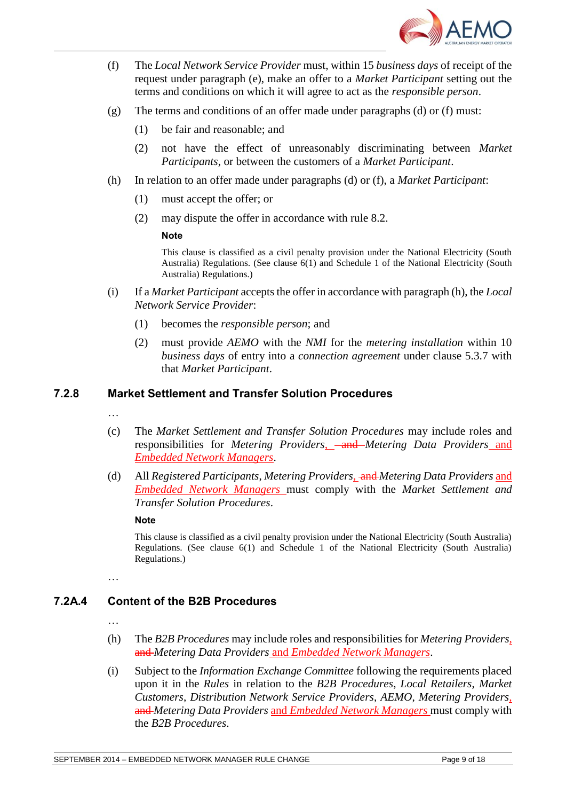

- (f) The *Local Network Service Provider* must, within 15 *business days* of receipt of the request under paragraph (e), make an offer to a *Market Participant* setting out the terms and conditions on which it will agree to act as the *responsible person*.
- (g) The terms and conditions of an offer made under paragraphs (d) or (f) must:
	- (1) be fair and reasonable; and
	- (2) not have the effect of unreasonably discriminating between *Market Participants*, or between the customers of a *Market Participant*.
- (h) In relation to an offer made under paragraphs (d) or (f), a *Market Participant*:
	- (1) must accept the offer; or
	- (2) may dispute the offer in accordance with rule 8.2.

This clause is classified as a civil penalty provision under the National Electricity (South Australia) Regulations. (See clause 6(1) and Schedule 1 of the National Electricity (South Australia) Regulations.)

- (i) If a *Market Participant* accepts the offer in accordance with paragraph (h), the *Local Network Service Provider*:
	- (1) becomes the *responsible person*; and
	- (2) must provide *AEMO* with the *NMI* for the *metering installation* within 10 *business days* of entry into a *connection agreement* under clause 5.3.7 with that *Market Participant*.

#### **7.2.8 Market Settlement and Transfer Solution Procedures**

- …
- (c) The *Market Settlement and Transfer Solution Procedures* may include roles and responsibilities for *Metering Providers,* and *Metering Data Providers* and *Embedded Network Managers*.
- (d) All *Registered Participants*, *Metering Providers,* and *Metering Data Providers* and *Embedded Network Managers* must comply with the *Market Settlement and Transfer Solution Procedures*.

**Note**

This clause is classified as a civil penalty provision under the National Electricity (South Australia) Regulations. (See clause 6(1) and Schedule 1 of the National Electricity (South Australia) Regulations.)

…

# **7.2A.4 Content of the B2B Procedures**

…

- (h) The *B2B Procedures* may include roles and responsibilities for *Metering Providers,*  and *Metering Data Providers* and *Embedded Network Managers*.
- (i) Subject to the *Information Exchange Committee* following the requirements placed upon it in the *Rules* in relation to the *B2B Procedures*, *Local Retailers*, *Market Customers*, *Distribution Network Service Providers*, *AEMO*, *Metering Providers,*  and *Metering Data Providers* and *Embedded Network Managers* must comply with the *B2B Procedures*.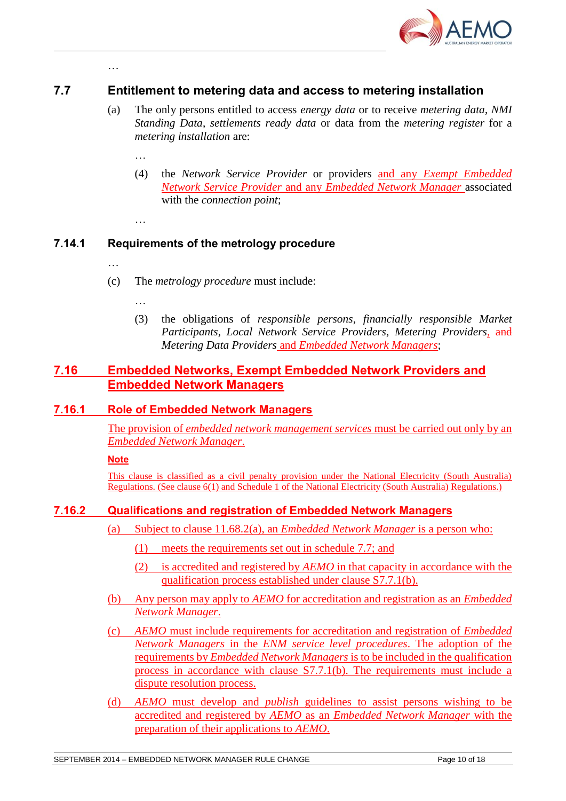

## **7.7 Entitlement to metering data and access to metering installation**

- (a) The only persons entitled to access *energy data* or to receive *metering data*, *NMI Standing Data*, *settlements ready data* or data from the *metering register* for a *metering installation* are:
	- …
	- (4) the *Network Service Provider* or providers and any *Exempt Embedded Network Service Provider* and any *Embedded Network Manager* associated with the *connection point*;
	- …

## **7.14.1 Requirements of the metrology procedure**

…

…

- (c) The *metrology procedure* must include:
	- …
	- (3) the obligations of *responsible persons*, *financially responsible Market Participants*, *Local Network Service Providers*, *Metering Providers,* and *Metering Data Providers* and *Embedded Network Managers*;

## **7.16 Embedded Networks, Exempt Embedded Network Providers and Embedded Network Managers**

### **7.16.1 Role of Embedded Network Managers**

The provision of *embedded network management services* must be carried out only by an *Embedded Network Manager*.

**Note**

This clause is classified as a civil penalty provision under the National Electricity (South Australia) Regulations. (See clause 6(1) and Schedule 1 of the National Electricity (South Australia) Regulations.)

### **7.16.2 Qualifications and registration of Embedded Network Managers**

- (a) Subject to clause 11.68.2(a), an *Embedded Network Manager* is a person who:
	- (1) meets the requirements set out in schedule 7.7; and
	- (2) is accredited and registered by *AEMO* in that capacity in accordance with the qualification process established under clause S7.7.1(b).
- (b) Any person may apply to *AEMO* for accreditation and registration as an *Embedded Network Manager*.
- (c) *AEMO* must include requirements for accreditation and registration of *Embedded Network Managers* in the *ENM service level procedures*. The adoption of the requirements by *Embedded Network Managers* is to be included in the qualification process in accordance with clause S7.7.1(b). The requirements must include a dispute resolution process.
- (d) *AEMO* must develop and *publish* guidelines to assist persons wishing to be accredited and registered by *AEMO* as an *Embedded Network Manager* with the preparation of their applications to *AEMO*.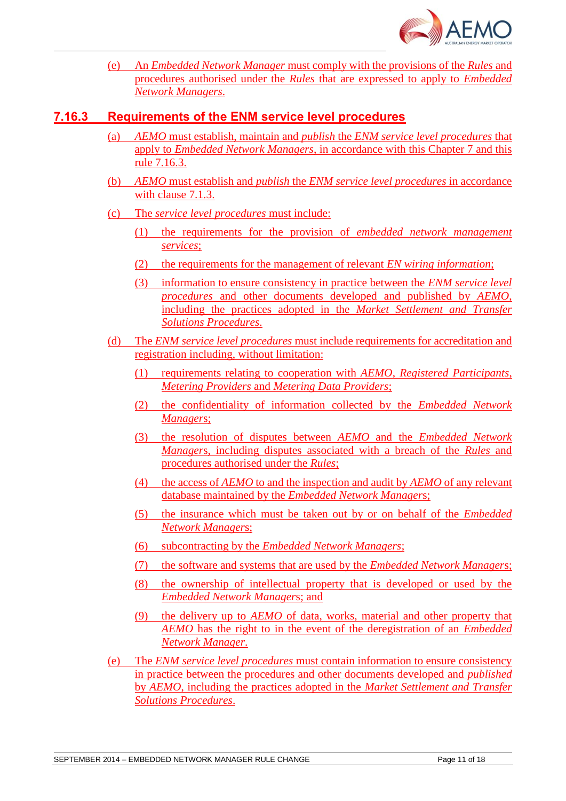

(e) An *Embedded Network Manager* must comply with the provisions of the *Rules* and procedures authorised under the *Rules* that are expressed to apply to *Embedded Network Managers*.

## **7.16.3 Requirements of the ENM service level procedures**

- (a) *AEMO* must establish, maintain and *publish* the *ENM service level procedures* that apply to *Embedded Network Managers*, in accordance with this Chapter 7 and this rule 7.16.3.
- (b) *AEMO* must establish and *publish* the *ENM service level procedures* in accordance with clause 7.1.3.
- (c) The *service level procedures* must include:
	- (1) the requirements for the provision of *embedded network management services*;
	- (2) the requirements for the management of relevant *EN wiring information*;
	- (3) information to ensure consistency in practice between the *ENM service level procedures* and other documents developed and published by *AEMO*, including the practices adopted in the *Market Settlement and Transfer Solutions Procedures*.
- (d) The *ENM service level procedures* must include requirements for accreditation and registration including, without limitation:
	- (1) requirements relating to cooperation with *AEMO*, *Registered Participants*, *Metering Providers* and *Metering Data Providers*;
	- (2) the confidentiality of information collected by the *Embedded Network Manager*s;
	- (3) the resolution of disputes between *AEMO* and the *Embedded Network Manager*s, including disputes associated with a breach of the *Rules* and procedures authorised under the *Rules*;
	- (4) the access of *AEMO* to and the inspection and audit by *AEMO* of any relevant database maintained by the *Embedded Network Manager*s;
	- (5) the insurance which must be taken out by or on behalf of the *Embedded Network Manager*s;
	- (6) subcontracting by the *Embedded Network Managers*;
	- (7) the software and systems that are used by the *Embedded Network Manager*s;
	- (8) the ownership of intellectual property that is developed or used by the *Embedded Network Manager*s; and
	- (9) the delivery up to *AEMO* of data, works, material and other property that *AEMO* has the right to in the event of the deregistration of an *Embedded Network Manager*.
- (e) The *ENM service level procedures* must contain information to ensure consistency in practice between the procedures and other documents developed and *published* by *AEMO*, including the practices adopted in the *Market Settlement and Transfer Solutions Procedures*.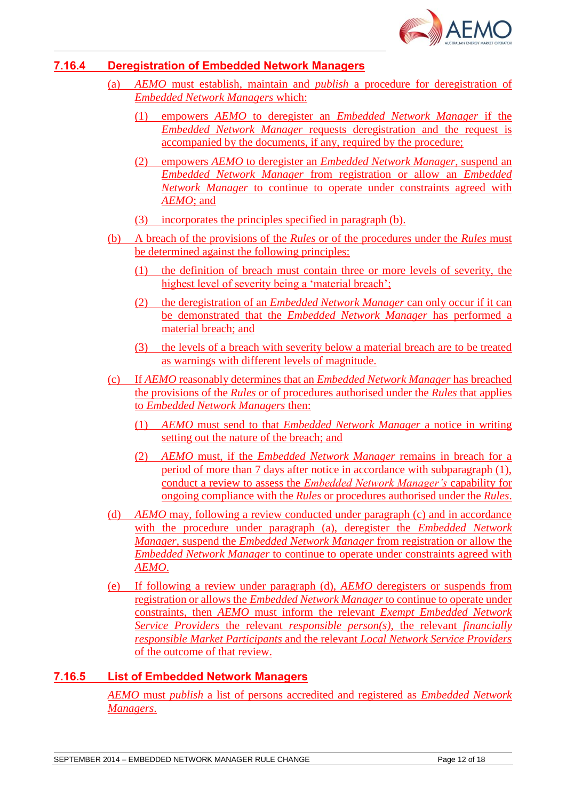

## **7.16.4 Deregistration of Embedded Network Managers**

- (a) *AEMO* must establish, maintain and *publish* a procedure for deregistration of *Embedded Network Managers* which:
	- (1) empowers *AEMO* to deregister an *Embedded Network Manager* if the *Embedded Network Manager* requests deregistration and the request is accompanied by the documents, if any, required by the procedure;
	- (2) empowers *AEMO* to deregister an *Embedded Network Manager*, suspend an *Embedded Network Manager* from registration or allow an *Embedded Network Manager* to continue to operate under constraints agreed with *AEMO*; and
	- (3) incorporates the principles specified in paragraph (b).
- (b) A breach of the provisions of the *Rules* or of the procedures under the *Rules* must be determined against the following principles:
	- (1) the definition of breach must contain three or more levels of severity, the highest level of severity being a 'material breach';
	- (2) the deregistration of an *Embedded Network Manager* can only occur if it can be demonstrated that the *Embedded Network Manager* has performed a material breach; and
	- (3) the levels of a breach with severity below a material breach are to be treated as warnings with different levels of magnitude.
- (c) If *AEMO* reasonably determines that an *Embedded Network Manager* has breached the provisions of the *Rules* or of procedures authorised under the *Rules* that applies to *Embedded Network Managers* then:
	- (1) *AEMO* must send to that *Embedded Network Manager* a notice in writing setting out the nature of the breach; and
	- (2) *AEMO* must, if the *Embedded Network Manager* remains in breach for a period of more than 7 days after notice in accordance with subparagraph (1), conduct a review to assess the *Embedded Network Manager's* capability for ongoing compliance with the *Rules* or procedures authorised under the *Rules*.
- (d) *AEMO* may, following a review conducted under paragraph (c) and in accordance with the procedure under paragraph (a), deregister the *Embedded Network Manager*, suspend the *Embedded Network Manager* from registration or allow the *Embedded Network Manager* to continue to operate under constraints agreed with *AEMO*.
- (e) If following a review under paragraph (d), *AEMO* deregisters or suspends from registration or allows the *Embedded Network Manager* to continue to operate under constraints, then *AEMO* must inform the relevant *Exempt Embedded Network Service Providers* the relevant *responsible person(s)*, the relevant *financially responsible Market Participants* and the relevant *Local Network Service Providers* of the outcome of that review.

### **7.16.5 List of Embedded Network Managers**

*AEMO* must *publish* a list of persons accredited and registered as *Embedded Network Managers*.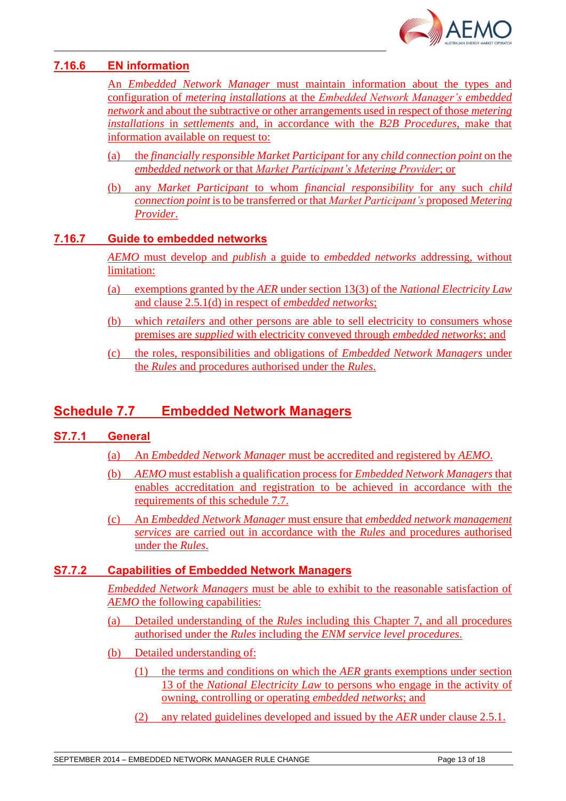![](_page_12_Picture_0.jpeg)

## **7.16.6 EN information**

An *Embedded Network Manager* must maintain information about the types and configuration of *metering installations* at the *Embedded Network Manager's embedded network* and about the subtractive or other arrangements used in respect of those *metering installations* in *settlements* and, in accordance with the *B2B Procedures*, make that information available on request to:

- (a) the *financially responsible Market Participant* for any *child connection point* on the *embedded network* or that *Market Participant's Metering Provider*; or
- (b) any *Market Participant* to whom *financial responsibility* for any such *child connection point* is to be transferred or that *Market Participant's* proposed *Metering Provider*.

### **7.16.7 Guide to embedded networks**

*AEMO* must develop and *publish* a guide to *embedded networks* addressing, without limitation:

- (a) exemptions granted by the *AER* under section 13(3) of the *National Electricity Law*  and clause 2.5.1(d) in respect of *embedded networks*;
- (b) which *retailers* and other persons are able to sell electricity to consumers whose premises are *supplied* with electricity conveyed through *embedded networks*; and
- (c) the roles, responsibilities and obligations of *Embedded Network Managers* under the *Rules* and procedures authorised under the *Rules*.

# **Schedule 7.7 Embedded Network Managers**

### **S7.7.1 General**

- (a) An *Embedded Network Manager* must be accredited and registered by *AEMO*.
- (b) *AEMO* must establish a qualification process for *Embedded Network Managers* that enables accreditation and registration to be achieved in accordance with the requirements of this schedule 7.7.
- (c) An *Embedded Network Manager* must ensure that *embedded network management services* are carried out in accordance with the *Rules* and procedures authorised under the *Rules*.

### **S7.7.2 Capabilities of Embedded Network Managers**

*Embedded Network Managers* must be able to exhibit to the reasonable satisfaction of *AEMO* the following capabilities:

- (a) Detailed understanding of the *Rules* including this Chapter 7, and all procedures authorised under the *Rules* including the *ENM service level procedures*.
- (b) Detailed understanding of:
	- (1) the terms and conditions on which the *AER* grants exemptions under section 13 of the *National Electricity Law* to persons who engage in the activity of owning, controlling or operating *embedded networks*; and
	- (2) any related guidelines developed and issued by the *AER* under clause 2.5.1.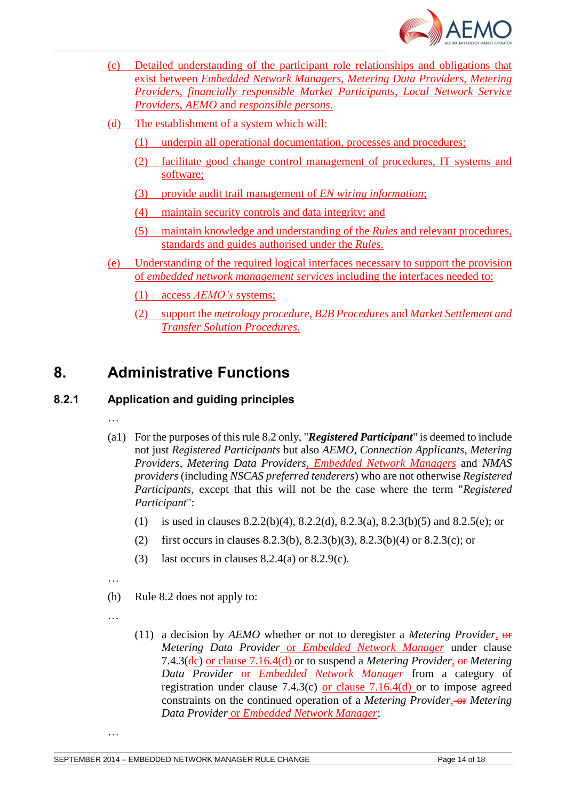![](_page_13_Picture_0.jpeg)

- (c) Detailed understanding of the participant role relationships and obligations that exist between *Embedded Network Managers, Metering Data Providers*, *Metering Providers*, *financially responsible Market Participants*, *Local Network Service Providers*, *AEMO* and *responsible persons*.
- (d) The establishment of a system which will:
	- (1) underpin all operational documentation, processes and procedures;
	- (2) facilitate good change control management of procedures, IT systems and software;
	- (3) provide audit trail management of *EN wiring information*;
	- (4) maintain security controls and data integrity; and
	- (5) maintain knowledge and understanding of the *Rules* and relevant procedures, standards and guides authorised under the *Rules*.
- (e) Understanding of the required logical interfaces necessary to support the provision of *embedded network management services* including the interfaces needed to:
	- (1) access *AEMO's* systems;
	- (2) support the *metrology procedure*, *B2B Procedures* and *Market Settlement and Transfer Solution Procedures*.

# **8. Administrative Functions**

# **8.2.1 Application and guiding principles**

- …
- (a1) For the purposes of this rule 8.2 only, "*Registered Participant*" is deemed to include not just *Registered Participants* but also *AEMO*, *Connection Applicants*, *Metering Providers*, *Metering Data Providers, Embedded Network Managers* and *NMAS providers* (including *NSCAS preferred tenderers*) who are not otherwise *Registered Participants*, except that this will not be the case where the term "*Registered Participant*":
	- (1) is used in clauses 8.2.2(b)(4), 8.2.2(d), 8.2.3(a), 8.2.3(b)(5) and 8.2.5(e); or
	- (2) first occurs in clauses 8.2.3(b), 8.2.3(b)(3), 8.2.3(b)(4) or 8.2.3(c); or
	- (3) last occurs in clauses  $8.2.4(a)$  or  $8.2.9(c)$ .
- …
- (h) Rule 8.2 does not apply to:
- …

…

(11) a decision by *AEMO* whether or not to deregister a *Metering Provider*, or *Metering Data Provider* or *Embedded Network Manager* under clause 7.4.3(dc) or clause 7.16.4(d) or to suspend a *Metering Provider*, or *Metering Data Provider* or *Embedded Network Manager* from a category of registration under clause 7.4.3(c) or clause  $7.16.4(d)$  or to impose agreed constraints on the continued operation of a *Metering Provider*, or *Metering Data Provider* or *Embedded Network Manager*;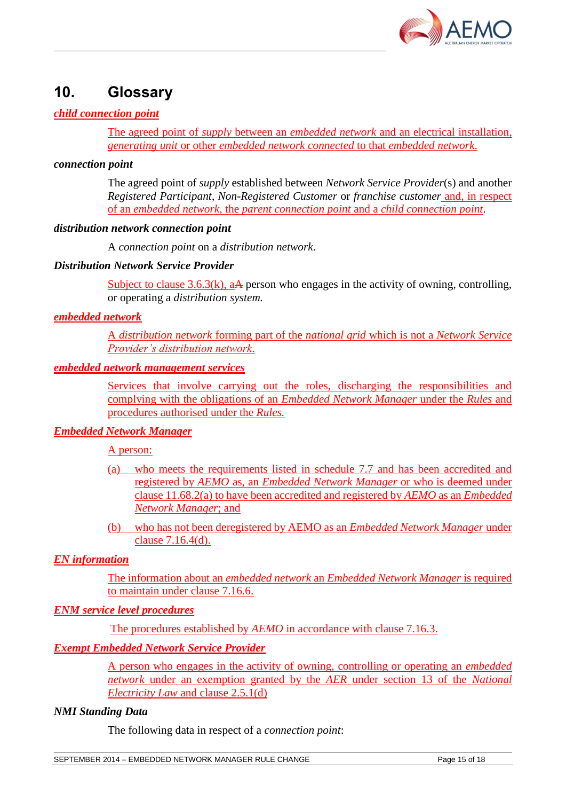![](_page_14_Picture_0.jpeg)

# **10. Glossary**

### *child connection point*

The agreed point of *supply* between an *embedded network* and an electrical installation, *generating unit* or other *embedded network connected* to that *embedded network*.

#### *connection point*

The agreed point of *supply* established between *Network Service Provider*(s) and another *Registered Participant*, *Non-Registered Customer* or *franchise customer* and, in respect of an *embedded network*, the *parent connection point* and a *child connection point*.

#### *distribution network connection point*

A *connection point* on a *distribution network*.

#### *Distribution Network Service Provider*

Subject to clause 3.6.3(k),  $a\mathbf{A}$  person who engages in the activity of owning, controlling, or operating a *distribution system.*

### *embedded network*

A *distribution network* forming part of the *national grid* which is not a *Network Service Provider's distribution network*.

#### *embedded network management services*

Services that involve carrying out the roles, discharging the responsibilities and complying with the obligations of an *Embedded Network Manager* under the *Rules* and procedures authorised under the *Rules.*

### *Embedded Network Manager*

A person:

- (a) who meets the requirements listed in schedule 7.7 and has been accredited and registered by *AEMO* as, an *Embedded Network Manager* or who is deemed under clause 11.68.2(a) to have been accredited and registered by *AEMO* as an *Embedded Network Manager*; and
- (b) who has not been deregistered by AEMO as an *Embedded Network Manager* under clause 7.16.4(d).

### *EN information*

The information about an *embedded network* an *Embedded Network Manager* is required to maintain under clause 7.16.6.

### *ENM service level procedures*

The procedures established by *AEMO* in accordance with clause 7.16.3.

### *Exempt Embedded Network Service Provider*

A person who engages in the activity of owning, controlling or operating an *embedded network* under an exemption granted by the *AER* under section 13 of the *National Electricity Law* and clause 2.5.1(d)

#### *NMI Standing Data*

The following data in respect of a *connection point*:

SEPTEMBER 2014 – EMBEDDED NETWORK MANAGER RULE CHANGE Page 15 of 18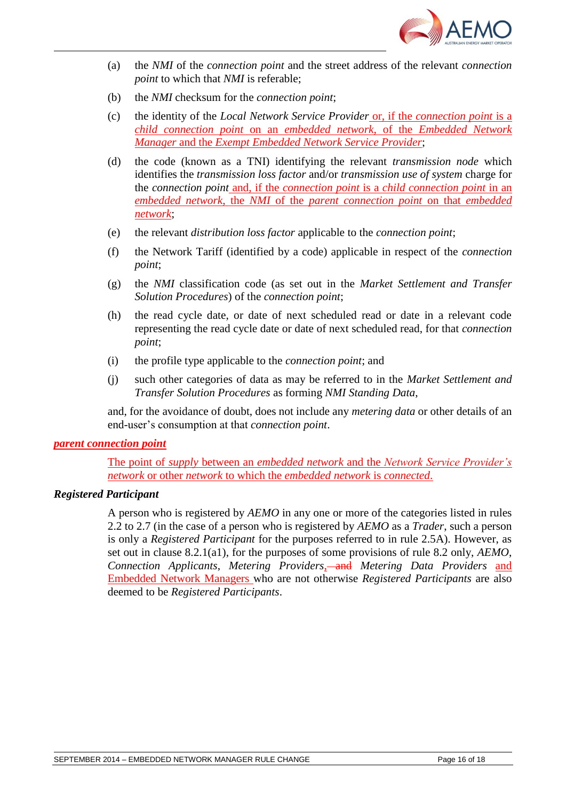![](_page_15_Picture_0.jpeg)

- (a) the *NMI* of the *connection point* and the street address of the relevant *connection point* to which that *NMI* is referable;
- (b) the *NMI* checksum for the *connection point*;
- (c) the identity of the *Local Network Service Provider* or, if the *connection point* is a *child connection point* on an *embedded network*, of the *Embedded Network Manager* and the *Exempt Embedded Network Service Provider*;
- (d) the code (known as a TNI) identifying the relevant *transmission node* which identifies the *transmission loss factor* and/or *transmission use of system* charge for the *connection point* and, if the *connection point* is a *child connection point* in an *embedded network*, the *NMI* of the *parent connection point* on that *embedded network*;
- (e) the relevant *distribution loss factor* applicable to the *connection point*;
- (f) the Network Tariff (identified by a code) applicable in respect of the *connection point*;
- (g) the *NMI* classification code (as set out in the *Market Settlement and Transfer Solution Procedures*) of the *connection point*;
- (h) the read cycle date, or date of next scheduled read or date in a relevant code representing the read cycle date or date of next scheduled read, for that *connection point*;
- (i) the profile type applicable to the *connection point*; and
- (j) such other categories of data as may be referred to in the *Market Settlement and Transfer Solution Procedures* as forming *NMI Standing Data*,

and, for the avoidance of doubt, does not include any *metering data* or other details of an end-user's consumption at that *connection point*.

#### *parent connection point*

The point of *supply* between an *embedded network* and the *Network Service Provider's network* or other *network* to which the *embedded network* is *connected*.

#### *Registered Participant*

A person who is registered by *AEMO* in any one or more of the categories listed in rules 2.2 to 2.7 (in the case of a person who is registered by *AEMO* as a *Trader*, such a person is only a *Registered Participant* for the purposes referred to in rule 2.5A). However, as set out in clause 8.2.1(a1), for the purposes of some provisions of rule 8.2 only, *AEMO*, *Connection Applicants*, *Metering Providers*, and *Metering Data Providers* and Embedded Network Managers who are not otherwise *Registered Participants* are also deemed to be *Registered Participants*.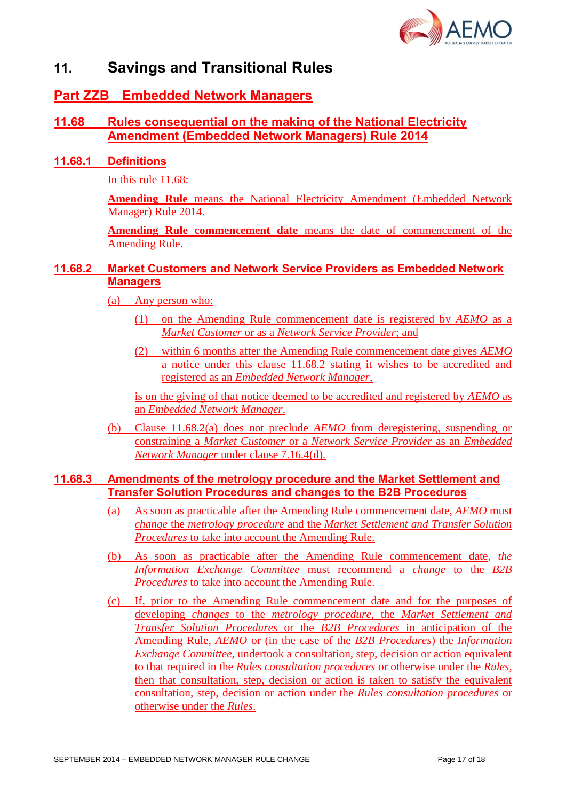![](_page_16_Picture_0.jpeg)

# **11. Savings and Transitional Rules**

# **Part ZZB Embedded Network Managers**

## **11.68 Rules consequential on the making of the National Electricity Amendment (Embedded Network Managers) Rule 2014**

## **11.68.1 Definitions**

In this rule 11.68:

**Amending Rule** means the National Electricity Amendment (Embedded Network Manager) Rule 2014.

**Amending Rule commencement date** means the date of commencement of the Amending Rule.

## **11.68.2 Market Customers and Network Service Providers as Embedded Network Managers**

(a) Any person who:

- (1) on the Amending Rule commencement date is registered by *AEMO* as a *Market Customer* or as a *Network Service Provider*; and
- (2) within 6 months after the Amending Rule commencement date gives *AEMO* a notice under this clause 11.68.2 stating it wishes to be accredited and registered as an *Embedded Network Manager*,

is on the giving of that notice deemed to be accredited and registered by *AEMO* as an *Embedded Network Manager*.

(b) Clause 11.68.2(a) does not preclude *AEMO* from deregistering, suspending or constraining a *Market Customer* or a *Network Service Provider* as an *Embedded Network Manager* under clause 7.16.4(d).

## **11.68.3 Amendments of the metrology procedure and the Market Settlement and Transfer Solution Procedures and changes to the B2B Procedures**

- (a) As soon as practicable after the Amending Rule commencement date, *AEMO* must *change* the *metrology procedure* and the *Market Settlement and Transfer Solution Procedures* to take into account the Amending Rule.
- (b) As soon as practicable after the Amending Rule commencement date, *the Information Exchange Committee* must recommend a *change* to the *B2B Procedures* to take into account the Amending Rule.
- (c) If, prior to the Amending Rule commencement date and for the purposes of developing *changes* to the *metrology procedure*, the *Market Settlement and Transfer Solution Procedures* or the *B2B Procedures* in anticipation of the Amending Rule, *AEMO* or (in the case of the *B2B Procedures*) the *Information Exchange Committee*, undertook a consultation, step, decision or action equivalent to that required in the *Rules consultation procedures* or otherwise under the *Rules*, then that consultation, step, decision or action is taken to satisfy the equivalent consultation, step, decision or action under the *Rules consultation procedures* or otherwise under the *Rules*.